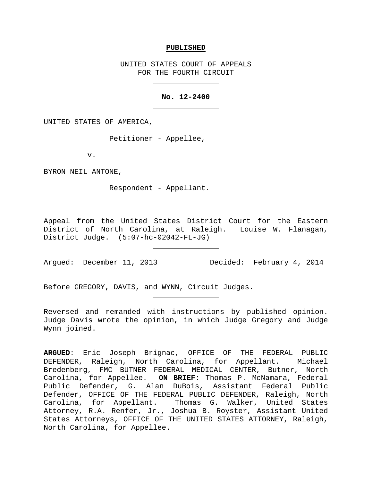#### **PUBLISHED**

UNITED STATES COURT OF APPEALS FOR THE FOURTH CIRCUIT

### **No. 12-2400**

UNITED STATES OF AMERICA,

Petitioner - Appellee,

v.

BYRON NEIL ANTONE,

Respondent - Appellant.

Appeal from the United States District Court for the Eastern District of North Carolina, at Raleigh. Louise W. Flanagan, District Judge. (5:07-hc-02042-FL-JG)

Argued: December 11, 2013 Decided: February 4, 2014

Before GREGORY, DAVIS, and WYNN, Circuit Judges.

Reversed and remanded with instructions by published opinion. Judge Davis wrote the opinion, in which Judge Gregory and Judge Wynn joined.

**ARGUED**: Eric Joseph Brignac, OFFICE OF THE FEDERAL PUBLIC DEFENDER, Raleigh, North Carolina, for Appellant. Michael Bredenberg, FMC BUTNER FEDERAL MEDICAL CENTER, Butner, North Carolina, for Appellee. **ON BRIEF:** Thomas P. McNamara, Federal Public Defender, G. Alan DuBois, Assistant Federal Public Defender, OFFICE OF THE FEDERAL PUBLIC DEFENDER, Raleigh, North Carolina, for Appellant. Thomas G. Walker, United States Attorney, R.A. Renfer, Jr., Joshua B. Royster, Assistant United States Attorneys, OFFICE OF THE UNITED STATES ATTORNEY, Raleigh, North Carolina, for Appellee.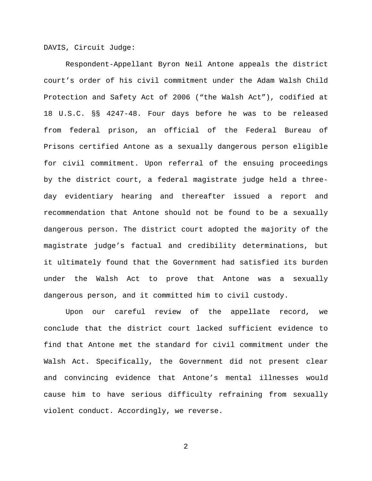DAVIS, Circuit Judge:

Respondent-Appellant Byron Neil Antone appeals the district court's order of his civil commitment under the Adam Walsh Child Protection and Safety Act of 2006 ("the Walsh Act"), codified at 18 U.S.C. §§ 4247-48. Four days before he was to be released from federal prison, an official of the Federal Bureau of Prisons certified Antone as a sexually dangerous person eligible for civil commitment. Upon referral of the ensuing proceedings by the district court, a federal magistrate judge held a threeday evidentiary hearing and thereafter issued a report and recommendation that Antone should not be found to be a sexually dangerous person. The district court adopted the majority of the magistrate judge's factual and credibility determinations, but it ultimately found that the Government had satisfied its burden under the Walsh Act to prove that Antone was a sexually dangerous person, and it committed him to civil custody.

Upon our careful review of the appellate record, we conclude that the district court lacked sufficient evidence to find that Antone met the standard for civil commitment under the Walsh Act. Specifically, the Government did not present clear and convincing evidence that Antone's mental illnesses would cause him to have serious difficulty refraining from sexually violent conduct. Accordingly, we reverse.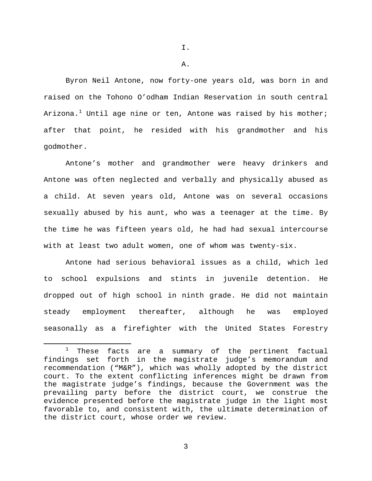I.

A.

Byron Neil Antone, now forty-one years old, was born in and raised on the Tohono O'odham Indian Reservation in south central Arizona.<sup>[1](#page-2-0)</sup> Until age nine or ten, Antone was raised by his mother; after that point, he resided with his grandmother and his godmother.

Antone's mother and grandmother were heavy drinkers and Antone was often neglected and verbally and physically abused as a child. At seven years old, Antone was on several occasions sexually abused by his aunt, who was a teenager at the time. By the time he was fifteen years old, he had had sexual intercourse with at least two adult women, one of whom was twenty-six.

Antone had serious behavioral issues as a child, which led to school expulsions and stints in juvenile detention. He dropped out of high school in ninth grade. He did not maintain steady employment thereafter, although he was employed seasonally as a firefighter with the United States Forestry

<span id="page-2-0"></span> $1$  These facts are a summary of the pertinent factual findings set forth in the magistrate judge's memorandum and recommendation ("M&R"), which was wholly adopted by the district court. To the extent conflicting inferences might be drawn from the magistrate judge's findings, because the Government was the prevailing party before the district court, we construe the evidence presented before the magistrate judge in the light most favorable to, and consistent with, the ultimate determination of the district court, whose order we review.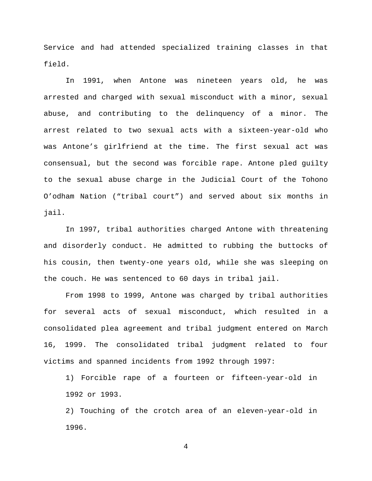Service and had attended specialized training classes in that field.

In 1991, when Antone was nineteen years old, he was arrested and charged with sexual misconduct with a minor, sexual abuse, and contributing to the delinquency of a minor. The arrest related to two sexual acts with a sixteen-year-old who was Antone's girlfriend at the time. The first sexual act was consensual, but the second was forcible rape. Antone pled guilty to the sexual abuse charge in the Judicial Court of the Tohono O'odham Nation ("tribal court") and served about six months in jail.

In 1997, tribal authorities charged Antone with threatening and disorderly conduct. He admitted to rubbing the buttocks of his cousin, then twenty-one years old, while she was sleeping on the couch. He was sentenced to 60 days in tribal jail.

From 1998 to 1999, Antone was charged by tribal authorities for several acts of sexual misconduct, which resulted in a consolidated plea agreement and tribal judgment entered on March 16, 1999. The consolidated tribal judgment related to four victims and spanned incidents from 1992 through 1997:

1) Forcible rape of a fourteen or fifteen-year-old in 1992 or 1993.

2) Touching of the crotch area of an eleven-year-old in 1996.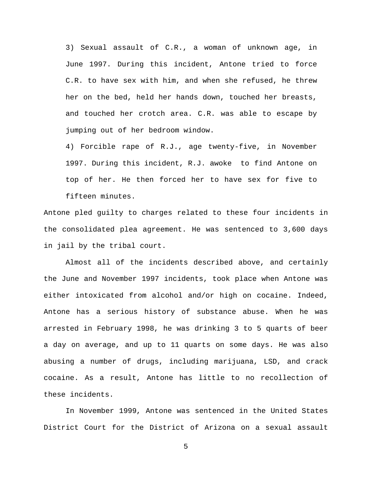3) Sexual assault of C.R., a woman of unknown age, in June 1997. During this incident, Antone tried to force C.R. to have sex with him, and when she refused, he threw her on the bed, held her hands down, touched her breasts, and touched her crotch area. C.R. was able to escape by jumping out of her bedroom window.

4) Forcible rape of R.J., age twenty-five, in November 1997. During this incident, R.J. awoke to find Antone on top of her. He then forced her to have sex for five to fifteen minutes.

Antone pled guilty to charges related to these four incidents in the consolidated plea agreement. He was sentenced to 3,600 days in jail by the tribal court.

Almost all of the incidents described above, and certainly the June and November 1997 incidents, took place when Antone was either intoxicated from alcohol and/or high on cocaine. Indeed, Antone has a serious history of substance abuse. When he was arrested in February 1998, he was drinking 3 to 5 quarts of beer a day on average, and up to 11 quarts on some days. He was also abusing a number of drugs, including marijuana, LSD, and crack cocaine. As a result, Antone has little to no recollection of these incidents.

In November 1999, Antone was sentenced in the United States District Court for the District of Arizona on a sexual assault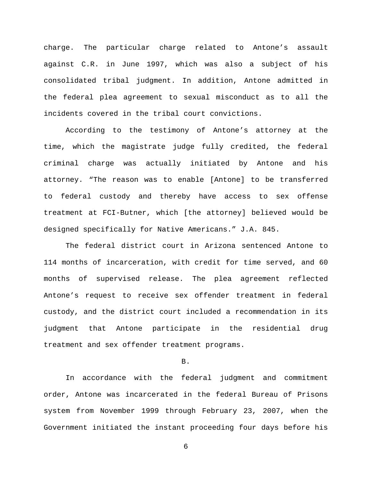charge. The particular charge related to Antone's assault against C.R. in June 1997, which was also a subject of his consolidated tribal judgment. In addition, Antone admitted in the federal plea agreement to sexual misconduct as to all the incidents covered in the tribal court convictions.

According to the testimony of Antone's attorney at the time, which the magistrate judge fully credited, the federal criminal charge was actually initiated by Antone and his attorney. "The reason was to enable [Antone] to be transferred to federal custody and thereby have access to sex offense treatment at FCI-Butner, which [the attorney] believed would be designed specifically for Native Americans." J.A. 845.

The federal district court in Arizona sentenced Antone to 114 months of incarceration, with credit for time served, and 60 months of supervised release. The plea agreement reflected Antone's request to receive sex offender treatment in federal custody, and the district court included a recommendation in its judgment that Antone participate in the residential drug treatment and sex offender treatment programs.

B.

In accordance with the federal judgment and commitment order, Antone was incarcerated in the federal Bureau of Prisons system from November 1999 through February 23, 2007, when the Government initiated the instant proceeding four days before his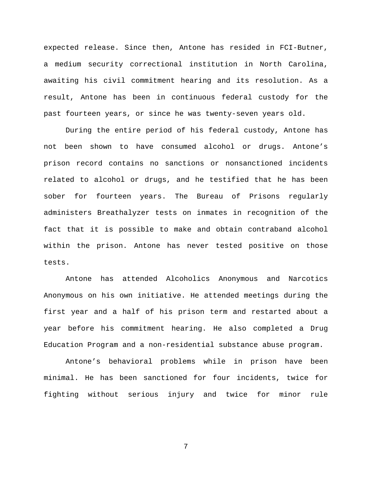expected release. Since then, Antone has resided in FCI-Butner, a medium security correctional institution in North Carolina, awaiting his civil commitment hearing and its resolution. As a result, Antone has been in continuous federal custody for the past fourteen years, or since he was twenty-seven years old.

During the entire period of his federal custody, Antone has not been shown to have consumed alcohol or drugs. Antone's prison record contains no sanctions or nonsanctioned incidents related to alcohol or drugs, and he testified that he has been sober for fourteen years. The Bureau of Prisons regularly administers Breathalyzer tests on inmates in recognition of the fact that it is possible to make and obtain contraband alcohol within the prison. Antone has never tested positive on those tests.

Antone has attended Alcoholics Anonymous and Narcotics Anonymous on his own initiative. He attended meetings during the first year and a half of his prison term and restarted about a year before his commitment hearing. He also completed a Drug Education Program and a non-residential substance abuse program.

Antone's behavioral problems while in prison have been minimal. He has been sanctioned for four incidents, twice for fighting without serious injury and twice for minor rule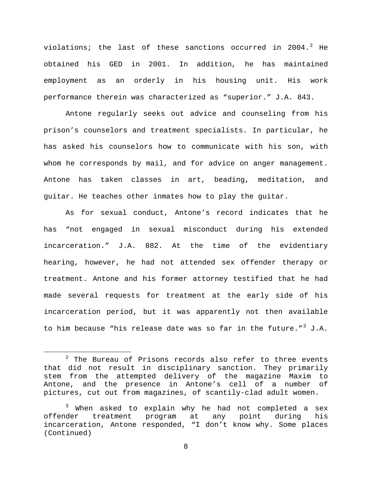violations; the last of these sanctions occurred in [2](#page-7-0)004.<sup>2</sup> He obtained his GED in 2001. In addition, he has maintained employment as an orderly in his housing unit. His work performance therein was characterized as "superior." J.A. 843.

Antone regularly seeks out advice and counseling from his prison's counselors and treatment specialists. In particular, he has asked his counselors how to communicate with his son, with whom he corresponds by mail, and for advice on anger management. Antone has taken classes in art, beading, meditation, and guitar. He teaches other inmates how to play the guitar.

As for sexual conduct, Antone's record indicates that he has "not engaged in sexual misconduct during his extended incarceration." J.A. 882. At the time of the evidentiary hearing, however, he had not attended sex offender therapy or treatment. Antone and his former attorney testified that he had made several requests for treatment at the early side of his incarceration period, but it was apparently not then available to him because "his release date was so far in the future."<sup>[3](#page-7-1)</sup> J.A.

<span id="page-7-0"></span> $2$  The Bureau of Prisons records also refer to three events that did not result in disciplinary sanction. They primarily stem from the attempted delivery of the magazine Maxim to Antone, and the presence in Antone's cell of a number of pictures, cut out from magazines, of scantily-clad adult women.

<span id="page-7-1"></span><sup>&</sup>lt;sup>3</sup> When asked to explain why he had not completed a sex<br>offender treatment program at any point during his offender treatment program at any point during his incarceration, Antone responded, "I don't know why. Some places (Continued)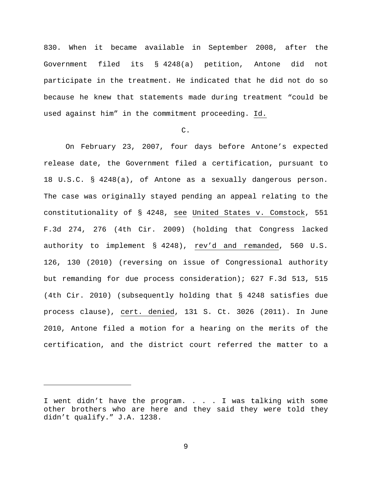830. When it became available in September 2008, after the Government filed its § 4248(a) petition, Antone did not participate in the treatment. He indicated that he did not do so because he knew that statements made during treatment "could be used against him" in the commitment proceeding. Id.

# $C<sub>1</sub>$

On February 23, 2007, four days before Antone's expected release date, the Government filed a certification, pursuant to 18 U.S.C. § 4248(a), of Antone as a sexually dangerous person. The case was originally stayed pending an appeal relating to the constitutionality of § 4248, see United States v. Comstock, 551 F.3d 274, 276 (4th Cir. 2009) (holding that Congress lacked authority to implement § 4248), rev'd and remanded, 560 U.S. 126, 130 (2010) (reversing on issue of Congressional authority but remanding for due process consideration); 627 F.3d 513, 515 (4th Cir. 2010) (subsequently holding that § 4248 satisfies due process clause), cert. denied, 131 S. Ct. 3026 (2011). In June 2010, Antone filed a motion for a hearing on the merits of the certification, and the district court referred the matter to a

Ĩ.

I went didn't have the program. . . . I was talking with some other brothers who are here and they said they were told they didn't qualify." J.A. 1238.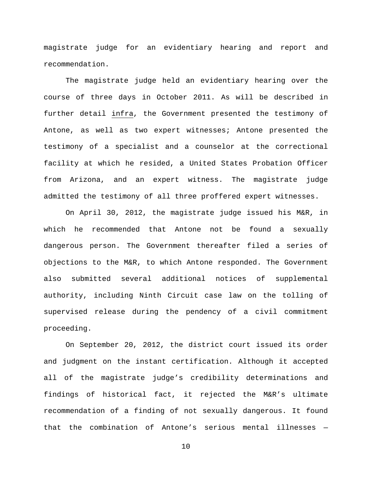magistrate judge for an evidentiary hearing and report and recommendation.

The magistrate judge held an evidentiary hearing over the course of three days in October 2011. As will be described in further detail infra, the Government presented the testimony of Antone, as well as two expert witnesses; Antone presented the testimony of a specialist and a counselor at the correctional facility at which he resided, a United States Probation Officer from Arizona, and an expert witness. The magistrate judge admitted the testimony of all three proffered expert witnesses.

On April 30, 2012, the magistrate judge issued his M&R, in which he recommended that Antone not be found a sexually dangerous person. The Government thereafter filed a series of objections to the M&R, to which Antone responded. The Government also submitted several additional notices of supplemental authority, including Ninth Circuit case law on the tolling of supervised release during the pendency of a civil commitment proceeding.

On September 20, 2012, the district court issued its order and judgment on the instant certification. Although it accepted all of the magistrate judge's credibility determinations and findings of historical fact, it rejected the M&R's ultimate recommendation of a finding of not sexually dangerous. It found that the combination of Antone's serious mental illnesses —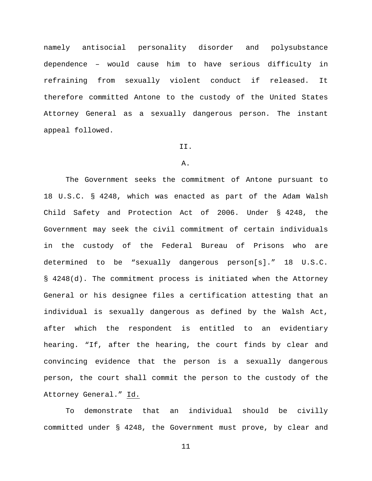namely antisocial personality disorder and polysubstance dependence – would cause him to have serious difficulty in refraining from sexually violent conduct if released. It therefore committed Antone to the custody of the United States Attorney General as a sexually dangerous person. The instant appeal followed.

#### II.

### A.

The Government seeks the commitment of Antone pursuant to 18 U.S.C. § 4248, which was enacted as part of the Adam Walsh Child Safety and Protection Act of 2006. Under § 4248, the Government may seek the civil commitment of certain individuals in the custody of the Federal Bureau of Prisons who are determined to be "sexually dangerous person[s]." 18 U.S.C. § 4248(d). The commitment process is initiated when the Attorney General or his designee files a certification attesting that an individual is sexually dangerous as defined by the Walsh Act, after which the respondent is entitled to an evidentiary hearing. "If, after the hearing, the court finds by clear and convincing evidence that the person is a sexually dangerous person, the court shall commit the person to the custody of the Attorney General." Id.

To demonstrate that an individual should be civilly committed under § 4248, the Government must prove, by clear and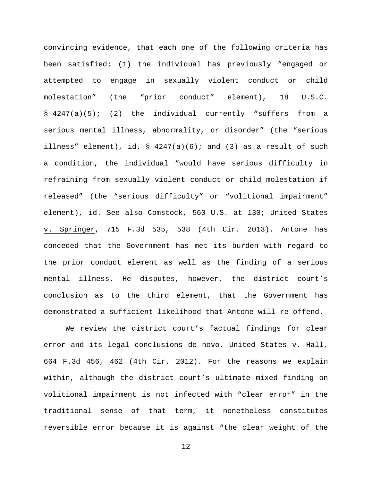convincing evidence, that each one of the following criteria has been satisfied: (1) the individual has previously "engaged or attempted to engage in sexually violent conduct or child molestation" (the "prior conduct" element), 18 U.S.C. § 4247(a)(5); (2) the individual currently "suffers from a serious mental illness, abnormality, or disorder" (the "serious illness" element), id.  $\S$  4247(a)(6); and (3) as a result of such a condition, the individual "would have serious difficulty in refraining from sexually violent conduct or child molestation if released" (the "serious difficulty" or "volitional impairment" element), id. See also Comstock, 560 U.S. at 130; United States v. Springer, 715 F.3d 535, 538 (4th Cir. 2013). Antone has conceded that the Government has met its burden with regard to the prior conduct element as well as the finding of a serious mental illness. He disputes, however, the district court's conclusion as to the third element, that the Government has demonstrated a sufficient likelihood that Antone will re-offend.

We review the district court's factual findings for clear error and its legal conclusions de novo. United States v. Hall, 664 F.3d 456, 462 (4th Cir. 2012). For the reasons we explain within, although the district court's ultimate mixed finding on volitional impairment is not infected with "clear error" in the traditional sense of that term, it nonetheless constitutes reversible error because it is against "the clear weight of the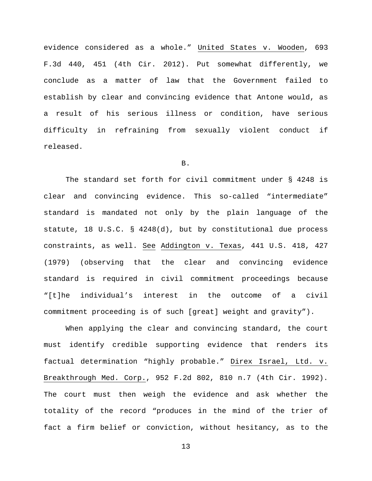evidence considered as a whole." United States v. Wooden, 693 F.3d 440, 451 (4th Cir. 2012). Put somewhat differently, we conclude as a matter of law that the Government failed to establish by clear and convincing evidence that Antone would, as a result of his serious illness or condition, have serious difficulty in refraining from sexually violent conduct if released.

### B.

The standard set forth for civil commitment under § 4248 is clear and convincing evidence. This so-called "intermediate" standard is mandated not only by the plain language of the statute, 18 U.S.C. § 4248(d), but by constitutional due process constraints, as well. See Addington v. Texas, 441 U.S. 418, 427 (1979) (observing that the clear and convincing evidence standard is required in civil commitment proceedings because "[t]he individual's interest in the outcome of a civil commitment proceeding is of such [great] weight and gravity").

When applying the clear and convincing standard, the court must identify credible supporting evidence that renders its factual determination "highly probable." Direx Israel, Ltd. v. Breakthrough Med. Corp., 952 F.2d 802, 810 n.7 (4th Cir. 1992). The court must then weigh the evidence and ask whether the totality of the record "produces in the mind of the trier of fact a firm belief or conviction, without hesitancy, as to the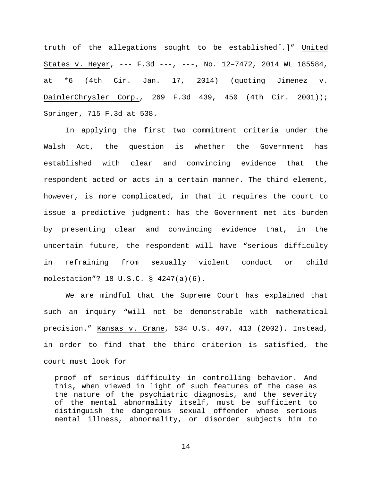truth of the allegations sought to be established[.]" United States v. Heyer, --- F.3d ---, ---, No. 12–7472, 2014 WL 185584, at \*6 (4th Cir. Jan. 17, 2014) (quoting Jimenez v. DaimlerChrysler Corp., 269 F.3d 439, 450 (4th Cir. 2001)); Springer, 715 F.3d at 538.

In applying the first two commitment criteria under the Walsh Act, the question is whether the Government has established with clear and convincing evidence that the respondent acted or acts in a certain manner. The third element, however, is more complicated, in that it requires the court to issue a predictive judgment: has the Government met its burden by presenting clear and convincing evidence that, in the uncertain future, the respondent will have "serious difficulty in refraining from sexually violent conduct or child molestation"? 18 U.S.C. § 4247(a)(6).

We are mindful that the Supreme Court has explained that such an inquiry "will not be demonstrable with mathematical precision." Kansas v. Crane, 534 U.S. 407, 413 (2002). Instead, in order to find that the third criterion is satisfied, the court must look for

proof of serious difficulty in controlling behavior. And this, when viewed in light of such features of the case as the nature of the psychiatric diagnosis, and the severity of the mental abnormality itself, must be sufficient to distinguish the dangerous sexual offender whose serious mental illness, abnormality, or disorder subjects him to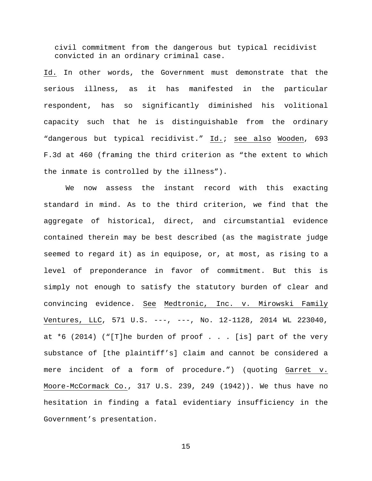civil commitment from the dangerous but typical recidivist convicted in an ordinary criminal case.

Id. In other words, the Government must demonstrate that the serious illness, as it has manifested in the particular respondent, has so significantly diminished his volitional capacity such that he is distinguishable from the ordinary "dangerous but typical recidivist." Id.; see also Wooden, 693 F.3d at 460 (framing the third criterion as "the extent to which the inmate is controlled by the illness").

We now assess the instant record with this exacting standard in mind. As to the third criterion, we find that the aggregate of historical, direct, and circumstantial evidence contained therein may be best described (as the magistrate judge seemed to regard it) as in equipose, or, at most, as rising to a level of preponderance in favor of commitment. But this is simply not enough to satisfy the statutory burden of clear and convincing evidence. See Medtronic, Inc. v. Mirowski Family Ventures, LLC, 571 U.S. ---, ---, No. 12-1128, 2014 WL 223040, at \*6 (2014) ("[T]he burden of proof . . . [is] part of the very substance of [the plaintiff's] claim and cannot be considered a mere incident of a form of procedure.") (quoting Garret v. Moore-McCormack Co., 317 U.S. 239, 249 (1942)). We thus have no hesitation in finding a fatal evidentiary insufficiency in the Government's presentation.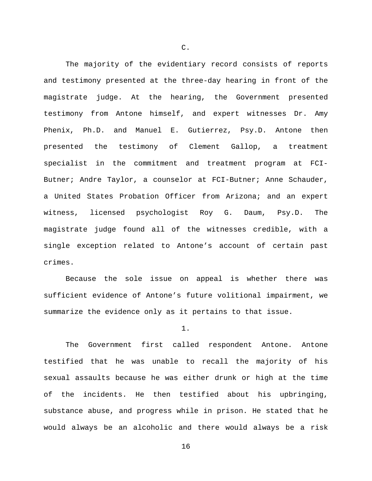The majority of the evidentiary record consists of reports and testimony presented at the three-day hearing in front of the magistrate judge. At the hearing, the Government presented testimony from Antone himself, and expert witnesses Dr. Amy Phenix, Ph.D. and Manuel E. Gutierrez, Psy.D. Antone then presented the testimony of Clement Gallop, a treatment specialist in the commitment and treatment program at FCI-Butner; Andre Taylor, a counselor at FCI-Butner; Anne Schauder, a United States Probation Officer from Arizona; and an expert witness, licensed psychologist Roy G. Daum, Psy.D. The magistrate judge found all of the witnesses credible, with a single exception related to Antone's account of certain past crimes.

Because the sole issue on appeal is whether there was sufficient evidence of Antone's future volitional impairment, we summarize the evidence only as it pertains to that issue.

1.

The Government first called respondent Antone. Antone testified that he was unable to recall the majority of his sexual assaults because he was either drunk or high at the time of the incidents. He then testified about his upbringing, substance abuse, and progress while in prison. He stated that he would always be an alcoholic and there would always be a risk

C.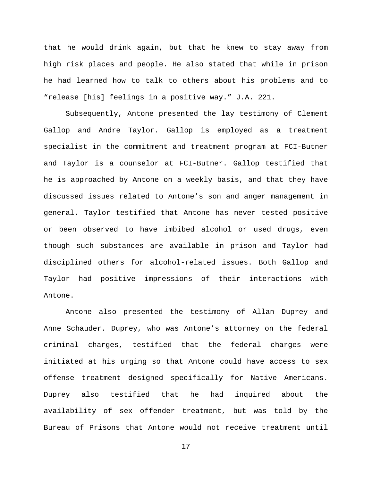that he would drink again, but that he knew to stay away from high risk places and people. He also stated that while in prison he had learned how to talk to others about his problems and to "release [his] feelings in a positive way." J.A. 221.

Subsequently, Antone presented the lay testimony of Clement Gallop and Andre Taylor. Gallop is employed as a treatment specialist in the commitment and treatment program at FCI-Butner and Taylor is a counselor at FCI-Butner. Gallop testified that he is approached by Antone on a weekly basis, and that they have discussed issues related to Antone's son and anger management in general. Taylor testified that Antone has never tested positive or been observed to have imbibed alcohol or used drugs, even though such substances are available in prison and Taylor had disciplined others for alcohol-related issues. Both Gallop and Taylor had positive impressions of their interactions with Antone.

Antone also presented the testimony of Allan Duprey and Anne Schauder. Duprey, who was Antone's attorney on the federal criminal charges, testified that the federal charges were initiated at his urging so that Antone could have access to sex offense treatment designed specifically for Native Americans. Duprey also testified that he had inquired about the availability of sex offender treatment, but was told by the Bureau of Prisons that Antone would not receive treatment until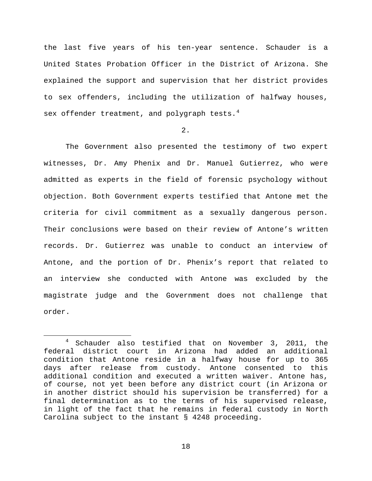the last five years of his ten-year sentence. Schauder is a United States Probation Officer in the District of Arizona. She explained the support and supervision that her district provides to sex offenders, including the utilization of halfway houses, sex offender treatment, and polygraph tests.<sup>[4](#page-17-0)</sup>

### 2.

The Government also presented the testimony of two expert witnesses, Dr. Amy Phenix and Dr. Manuel Gutierrez, who were admitted as experts in the field of forensic psychology without objection. Both Government experts testified that Antone met the criteria for civil commitment as a sexually dangerous person. Their conclusions were based on their review of Antone's written records. Dr. Gutierrez was unable to conduct an interview of Antone, and the portion of Dr. Phenix's report that related to an interview she conducted with Antone was excluded by the magistrate judge and the Government does not challenge that order.

<span id="page-17-0"></span> <sup>4</sup> Schauder also testified that on November 3, 2011, the federal district court in Arizona had added an additional condition that Antone reside in a halfway house for up to 365 days after release from custody. Antone consented to this additional condition and executed a written waiver. Antone has, of course, not yet been before any district court (in Arizona or in another district should his supervision be transferred) for a final determination as to the terms of his supervised release, in light of the fact that he remains in federal custody in North Carolina subject to the instant § 4248 proceeding.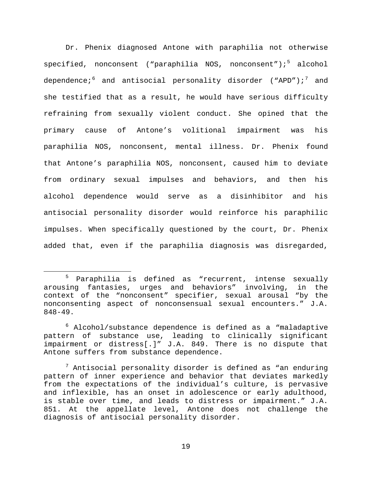Dr. Phenix diagnosed Antone with paraphilia not otherwise specified, nonconsent ("paraphilia NOS, nonconsent");<sup>[5](#page-18-0)</sup> alcohol dependence;  $6 \text{ and } \text{antisocial}$  $6 \text{ and } \text{antisocial}$  personality disorder ("APD"); and she testified that as a result, he would have serious difficulty refraining from sexually violent conduct. She opined that the primary cause of Antone's volitional impairment was his paraphilia NOS, nonconsent, mental illness. Dr. Phenix found that Antone's paraphilia NOS, nonconsent, caused him to deviate from ordinary sexual impulses and behaviors, and then his alcohol dependence would serve as a disinhibitor and his antisocial personality disorder would reinforce his paraphilic impulses. When specifically questioned by the court, Dr. Phenix added that, even if the paraphilia diagnosis was disregarded,

<span id="page-18-0"></span> <sup>5</sup> Paraphilia is defined as "recurrent, intense sexually arousing fantasies, urges and behaviors" involving, in the context of the "nonconsent" specifier, sexual arousal "by the nonconsenting aspect of nonconsensual sexual encounters." J.A. 848-49.

<span id="page-18-1"></span> $6$  Alcohol/substance dependence is defined as a "maladaptive pattern of substance use, leading to clinically significant impairment or distress[.]" J.A. 849. There is no dispute that Antone suffers from substance dependence.

<span id="page-18-2"></span> $7$  Antisocial personality disorder is defined as "an enduring pattern of inner experience and behavior that deviates markedly from the expectations of the individual's culture, is pervasive and inflexible, has an onset in adolescence or early adulthood, is stable over time, and leads to distress or impairment." J.A. 851. At the appellate level, Antone does not challenge the diagnosis of antisocial personality disorder.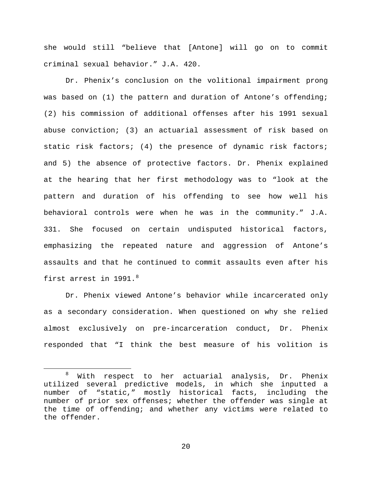she would still "believe that [Antone] will go on to commit criminal sexual behavior." J.A. 420.

Dr. Phenix's conclusion on the volitional impairment prong was based on (1) the pattern and duration of Antone's offending; (2) his commission of additional offenses after his 1991 sexual abuse conviction; (3) an actuarial assessment of risk based on static risk factors; (4) the presence of dynamic risk factors; and 5) the absence of protective factors. Dr. Phenix explained at the hearing that her first methodology was to "look at the pattern and duration of his offending to see how well his behavioral controls were when he was in the community." J.A. 331. She focused on certain undisputed historical factors, emphasizing the repeated nature and aggression of Antone's assaults and that he continued to commit assaults even after his first arrest in 1991.<sup>[8](#page-19-0)</sup>

Dr. Phenix viewed Antone's behavior while incarcerated only as a secondary consideration. When questioned on why she relied almost exclusively on pre-incarceration conduct, Dr. Phenix responded that "I think the best measure of his volition is

<span id="page-19-0"></span> <sup>8</sup> With respect to her actuarial analysis, Dr. Phenix utilized several predictive models, in which she inputted a number of "static," mostly historical facts, including the number of prior sex offenses; whether the offender was single at the time of offending; and whether any victims were related to the offender.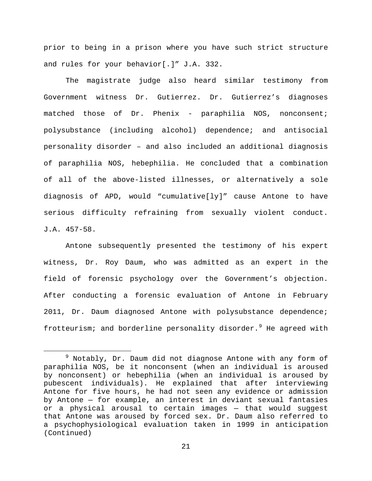prior to being in a prison where you have such strict structure and rules for your behavior[.]" J.A. 332.

The magistrate judge also heard similar testimony from Government witness Dr. Gutierrez. Dr. Gutierrez's diagnoses matched those of Dr. Phenix - paraphilia NOS, nonconsent; polysubstance (including alcohol) dependence; and antisocial personality disorder – and also included an additional diagnosis of paraphilia NOS, hebephilia. He concluded that a combination of all of the above-listed illnesses, or alternatively a sole diagnosis of APD, would "cumulative[ly]" cause Antone to have serious difficulty refraining from sexually violent conduct. J.A. 457-58.

Antone subsequently presented the testimony of his expert witness, Dr. Roy Daum, who was admitted as an expert in the field of forensic psychology over the Government's objection. After conducting a forensic evaluation of Antone in February 2011, Dr. Daum diagnosed Antone with polysubstance dependence; frotteurism; and borderline personality disorder.<sup>[9](#page-20-0)</sup> He agreed with

<span id="page-20-0"></span> $9$  Notably, Dr. Daum did not diagnose Antone with any form of paraphilia NOS, be it nonconsent (when an individual is aroused by nonconsent) or hebephilia (when an individual is aroused by pubescent individuals). He explained that after interviewing Antone for five hours, he had not seen any evidence or admission by Antone — for example, an interest in deviant sexual fantasies or a physical arousal to certain images — that would suggest that Antone was aroused by forced sex. Dr. Daum also referred to a psychophysiological evaluation taken in 1999 in anticipation (Continued)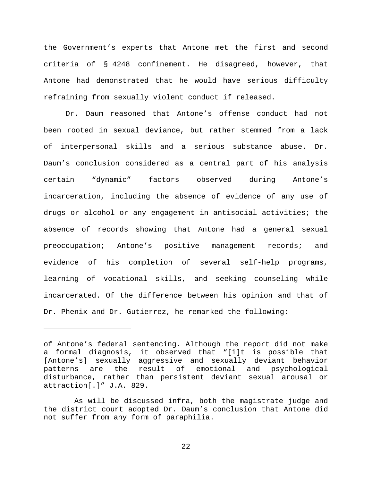the Government's experts that Antone met the first and second criteria of § 4248 confinement. He disagreed, however, that Antone had demonstrated that he would have serious difficulty refraining from sexually violent conduct if released.

Dr. Daum reasoned that Antone's offense conduct had not been rooted in sexual deviance, but rather stemmed from a lack of interpersonal skills and a serious substance abuse. Dr. Daum's conclusion considered as a central part of his analysis certain "dynamic" factors observed during Antone's incarceration, including the absence of evidence of any use of drugs or alcohol or any engagement in antisocial activities; the absence of records showing that Antone had a general sexual preoccupation; Antone's positive management records; and evidence of his completion of several self-help programs, learning of vocational skills, and seeking counseling while incarcerated. Of the difference between his opinion and that of Dr. Phenix and Dr. Gutierrez, he remarked the following:

Ĩ.

of Antone's federal sentencing. Although the report did not make a formal diagnosis, it observed that "[i]t is possible that [Antone's] sexually aggressive and sexually deviant behavior<br>patterns are the result of emotional and psychological patterns are the result of emotional and psychological disturbance, rather than persistent deviant sexual arousal or attraction[.]" J.A. 829.

As will be discussed infra, both the magistrate judge and the district court adopted Dr. Daum's conclusion that Antone did not suffer from any form of paraphilia.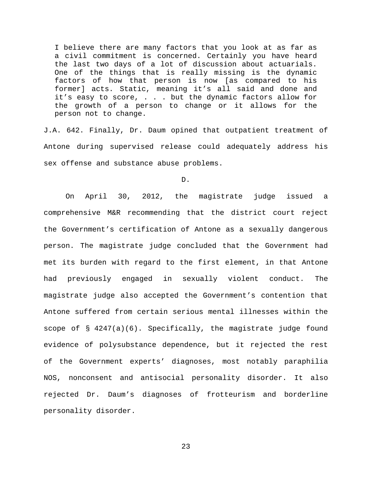I believe there are many factors that you look at as far as a civil commitment is concerned. Certainly you have heard the last two days of a lot of discussion about actuarials. One of the things that is really missing is the dynamic factors of how that person is now [as compared to his former] acts. Static, meaning it's all said and done and it's easy to score, . . . but the dynamic factors allow for the growth of a person to change or it allows for the person not to change.

J.A. 642. Finally, Dr. Daum opined that outpatient treatment of Antone during supervised release could adequately address his sex offense and substance abuse problems.

D.

On April 30, 2012, the magistrate judge issued a comprehensive M&R recommending that the district court reject the Government's certification of Antone as a sexually dangerous person. The magistrate judge concluded that the Government had met its burden with regard to the first element, in that Antone had previously engaged in sexually violent conduct. The magistrate judge also accepted the Government's contention that Antone suffered from certain serious mental illnesses within the scope of  $\S$  4247(a)(6). Specifically, the magistrate judge found evidence of polysubstance dependence, but it rejected the rest of the Government experts' diagnoses, most notably paraphilia NOS, nonconsent and antisocial personality disorder. It also rejected Dr. Daum's diagnoses of frotteurism and borderline personality disorder.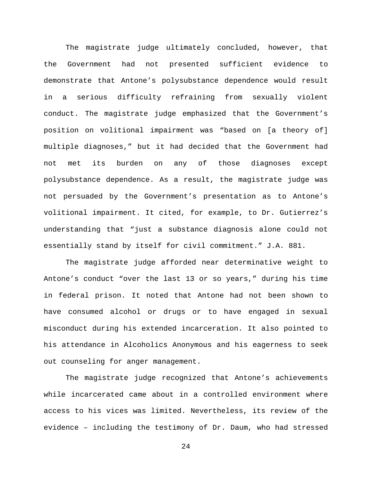The magistrate judge ultimately concluded, however, that the Government had not presented sufficient evidence to demonstrate that Antone's polysubstance dependence would result in a serious difficulty refraining from sexually violent conduct. The magistrate judge emphasized that the Government's position on volitional impairment was "based on [a theory of] multiple diagnoses," but it had decided that the Government had not met its burden on any of those diagnoses except polysubstance dependence. As a result, the magistrate judge was not persuaded by the Government's presentation as to Antone's volitional impairment. It cited, for example, to Dr. Gutierrez's understanding that "just a substance diagnosis alone could not essentially stand by itself for civil commitment." J.A. 881.

The magistrate judge afforded near determinative weight to Antone's conduct "over the last 13 or so years," during his time in federal prison. It noted that Antone had not been shown to have consumed alcohol or drugs or to have engaged in sexual misconduct during his extended incarceration. It also pointed to his attendance in Alcoholics Anonymous and his eagerness to seek out counseling for anger management.

The magistrate judge recognized that Antone's achievements while incarcerated came about in a controlled environment where access to his vices was limited. Nevertheless, its review of the evidence – including the testimony of Dr. Daum, who had stressed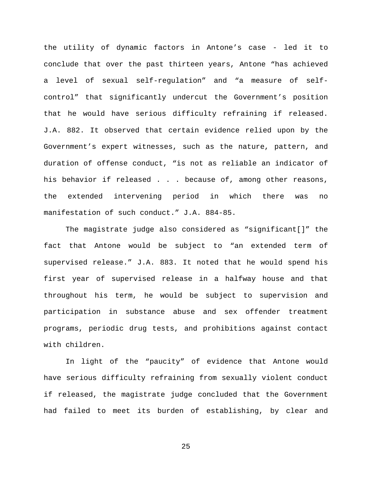the utility of dynamic factors in Antone's case - led it to conclude that over the past thirteen years, Antone "has achieved a level of sexual self-regulation" and "a measure of selfcontrol" that significantly undercut the Government's position that he would have serious difficulty refraining if released. J.A. 882. It observed that certain evidence relied upon by the Government's expert witnesses, such as the nature, pattern, and duration of offense conduct, "is not as reliable an indicator of his behavior if released . . . because of, among other reasons, the extended intervening period in which there was no manifestation of such conduct." J.A. 884-85.

The magistrate judge also considered as "significant[]" the fact that Antone would be subject to "an extended term of supervised release." J.A. 883. It noted that he would spend his first year of supervised release in a halfway house and that throughout his term, he would be subject to supervision and participation in substance abuse and sex offender treatment programs, periodic drug tests, and prohibitions against contact with children.

In light of the "paucity" of evidence that Antone would have serious difficulty refraining from sexually violent conduct if released, the magistrate judge concluded that the Government had failed to meet its burden of establishing, by clear and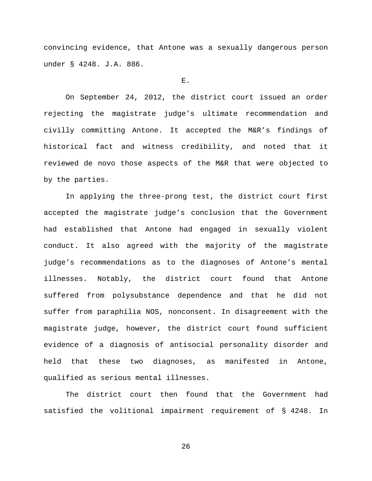convincing evidence, that Antone was a sexually dangerous person under § 4248. J.A. 886.

### E.

On September 24, 2012, the district court issued an order rejecting the magistrate judge's ultimate recommendation and civilly committing Antone. It accepted the M&R's findings of historical fact and witness credibility, and noted that it reviewed de novo those aspects of the M&R that were objected to by the parties.

In applying the three-prong test, the district court first accepted the magistrate judge's conclusion that the Government had established that Antone had engaged in sexually violent conduct. It also agreed with the majority of the magistrate judge's recommendations as to the diagnoses of Antone's mental illnesses. Notably, the district court found that Antone suffered from polysubstance dependence and that he did not suffer from paraphilia NOS, nonconsent. In disagreement with the magistrate judge, however, the district court found sufficient evidence of a diagnosis of antisocial personality disorder and held that these two diagnoses, as manifested in Antone, qualified as serious mental illnesses.

The district court then found that the Government had satisfied the volitional impairment requirement of § 4248. In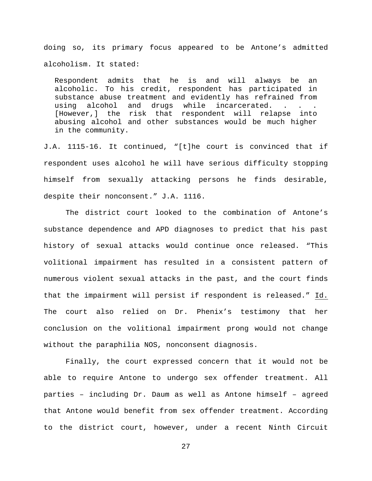doing so, its primary focus appeared to be Antone's admitted alcoholism. It stated:

Respondent admits that he is and will always be an alcoholic. To his credit, respondent has participated in substance abuse treatment and evidently has refrained from<br>using alcohol and drugs while incarcerated. . . . using alcohol and drugs while incarcerated. . . . [However,] the risk that respondent will relapse into abusing alcohol and other substances would be much higher in the community.

J.A. 1115-16. It continued, "[t]he court is convinced that if respondent uses alcohol he will have serious difficulty stopping himself from sexually attacking persons he finds desirable, despite their nonconsent." J.A. 1116.

The district court looked to the combination of Antone's substance dependence and APD diagnoses to predict that his past history of sexual attacks would continue once released. "This volitional impairment has resulted in a consistent pattern of numerous violent sexual attacks in the past, and the court finds that the impairment will persist if respondent is released." Id. The court also relied on Dr. Phenix's testimony that her conclusion on the volitional impairment prong would not change without the paraphilia NOS, nonconsent diagnosis.

Finally, the court expressed concern that it would not be able to require Antone to undergo sex offender treatment. All parties – including Dr. Daum as well as Antone himself – agreed that Antone would benefit from sex offender treatment. According to the district court, however, under a recent Ninth Circuit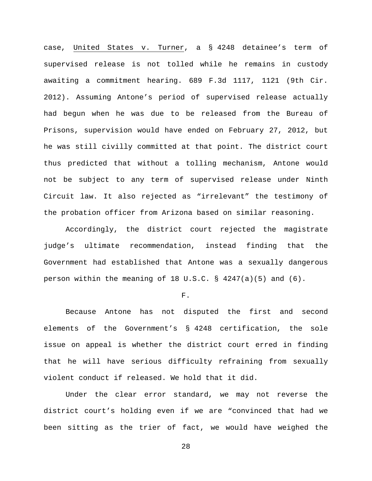case, United States v. Turner, a § 4248 detainee's term of supervised release is not tolled while he remains in custody awaiting a commitment hearing. 689 F.3d 1117, 1121 (9th Cir. 2012). Assuming Antone's period of supervised release actually had begun when he was due to be released from the Bureau of Prisons, supervision would have ended on February 27, 2012, but he was still civilly committed at that point. The district court thus predicted that without a tolling mechanism, Antone would not be subject to any term of supervised release under Ninth Circuit law. It also rejected as "irrelevant" the testimony of the probation officer from Arizona based on similar reasoning.

Accordingly, the district court rejected the magistrate judge's ultimate recommendation, instead finding that the Government had established that Antone was a sexually dangerous person within the meaning of 18 U.S.C.  $\S$  4247(a)(5) and (6).

### F.

Because Antone has not disputed the first and second elements of the Government's § 4248 certification, the sole issue on appeal is whether the district court erred in finding that he will have serious difficulty refraining from sexually violent conduct if released. We hold that it did.

Under the clear error standard, we may not reverse the district court's holding even if we are "convinced that had we been sitting as the trier of fact, we would have weighed the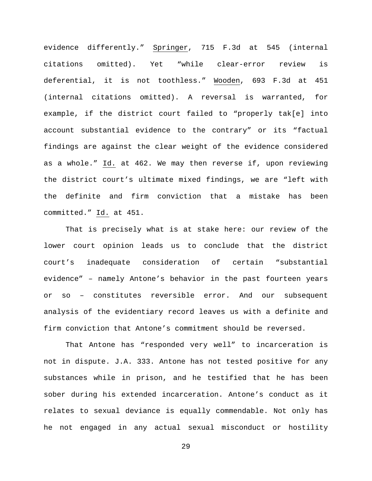evidence differently." Springer, 715 F.3d at 545 (internal citations omitted). Yet "while clear-error review is deferential, it is not toothless." Wooden, 693 F.3d at 451 (internal citations omitted). A reversal is warranted, for example, if the district court failed to "properly tak[e] into account substantial evidence to the contrary" or its "factual findings are against the clear weight of the evidence considered as a whole." Id. at 462. We may then reverse if, upon reviewing the district court's ultimate mixed findings, we are "left with the definite and firm conviction that a mistake has been committed." Id. at 451.

That is precisely what is at stake here: our review of the lower court opinion leads us to conclude that the district court's inadequate consideration of certain "substantial evidence" – namely Antone's behavior in the past fourteen years or so – constitutes reversible error. And our subsequent analysis of the evidentiary record leaves us with a definite and firm conviction that Antone's commitment should be reversed.

That Antone has "responded very well" to incarceration is not in dispute. J.A. 333. Antone has not tested positive for any substances while in prison, and he testified that he has been sober during his extended incarceration. Antone's conduct as it relates to sexual deviance is equally commendable. Not only has he not engaged in any actual sexual misconduct or hostility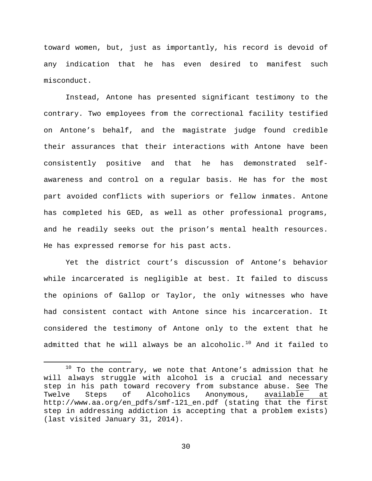toward women, but, just as importantly, his record is devoid of any indication that he has even desired to manifest such misconduct.

Instead, Antone has presented significant testimony to the contrary. Two employees from the correctional facility testified on Antone's behalf, and the magistrate judge found credible their assurances that their interactions with Antone have been consistently positive and that he has demonstrated selfawareness and control on a regular basis. He has for the most part avoided conflicts with superiors or fellow inmates. Antone has completed his GED, as well as other professional programs, and he readily seeks out the prison's mental health resources. He has expressed remorse for his past acts.

Yet the district court's discussion of Antone's behavior while incarcerated is negligible at best. It failed to discuss the opinions of Gallop or Taylor, the only witnesses who have had consistent contact with Antone since his incarceration. It considered the testimony of Antone only to the extent that he admitted that he will always be an alcoholic.<sup>[10](#page-29-0)</sup> And it failed to

<span id="page-29-0"></span> $10$  To the contrary, we note that Antone's admission that he will always struggle with alcohol is a crucial and necessary step in his path toward recovery from substance abuse. <u>See</u> The<br>Twelve Steps of Alcoholics Anonymous, available at Twelve Steps of Alcoholics Anonymous, available at http://www.aa.org/en\_pdfs/smf-121\_en.pdf (stating that the first step in addressing addiction is accepting that a problem exists) (last visited January 31, 2014).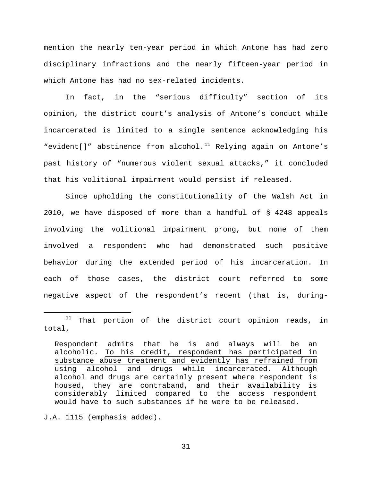mention the nearly ten-year period in which Antone has had zero disciplinary infractions and the nearly fifteen-year period in which Antone has had no sex-related incidents.

In fact, in the "serious difficulty" section of its opinion, the district court's analysis of Antone's conduct while incarcerated is limited to a single sentence acknowledging his "evident[]" abstinence from alcohol.<sup>[11](#page-30-0)</sup> Relying again on Antone's past history of "numerous violent sexual attacks," it concluded that his volitional impairment would persist if released.

Since upholding the constitutionality of the Walsh Act in 2010, we have disposed of more than a handful of § 4248 appeals involving the volitional impairment prong, but none of them involved a respondent who had demonstrated such positive behavior during the extended period of his incarceration. In each of those cases, the district court referred to some negative aspect of the respondent's recent (that is, during-

J.A. 1115 (emphasis added).

<span id="page-30-0"></span> $11$  That portion of the district court opinion reads, in total,

Respondent admits that he is and always will be an alcoholic. To his credit, respondent has participated in substance abuse treatment and evidently has refrained from using alcohol and drugs while incarcerated. Although alcohol and drugs are certainly present where respondent is housed, they are contraband, and their availability is considerably limited compared to the access respondent would have to such substances if he were to be released.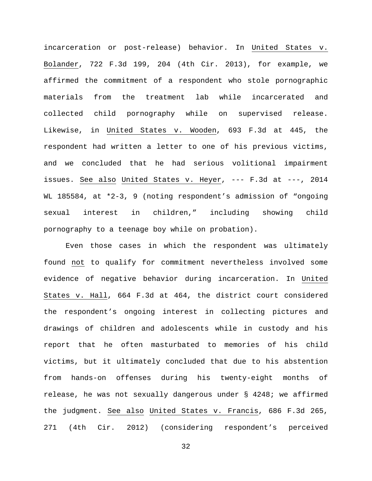incarceration or post-release) behavior. In United States v. Bolander, 722 F.3d 199, 204 (4th Cir. 2013), for example, we affirmed the commitment of a respondent who stole pornographic materials from the treatment lab while incarcerated and collected child pornography while on supervised release. Likewise, in United States v. Wooden, 693 F.3d at 445, the respondent had written a letter to one of his previous victims, and we concluded that he had serious volitional impairment issues. See also United States v. Heyer, --- F.3d at ---, 2014 WL 185584, at \*2-3, 9 (noting respondent's admission of "ongoing sexual interest in children," including showing child pornography to a teenage boy while on probation).

Even those cases in which the respondent was ultimately found not to qualify for commitment nevertheless involved some evidence of negative behavior during incarceration. In United States v. Hall, 664 F.3d at 464, the district court considered the respondent's ongoing interest in collecting pictures and drawings of children and adolescents while in custody and his report that he often masturbated to memories of his child victims, but it ultimately concluded that due to his abstention from hands-on offenses during his twenty-eight months of release, he was not sexually dangerous under § 4248; we affirmed the judgment. See also United States v. Francis, 686 F.3d 265, 271 (4th Cir. 2012) (considering respondent's perceived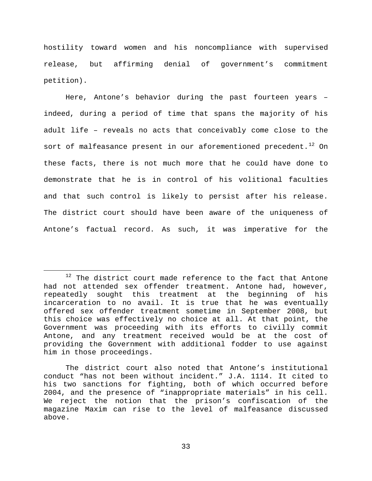hostility toward women and his noncompliance with supervised release, but affirming denial of government's commitment petition).

Here, Antone's behavior during the past fourteen years – indeed, during a period of time that spans the majority of his adult life – reveals no acts that conceivably come close to the sort of malfeasance present in our aforementioned precedent.<sup>[12](#page-32-0)</sup> On these facts, there is not much more that he could have done to demonstrate that he is in control of his volitional faculties and that such control is likely to persist after his release. The district court should have been aware of the uniqueness of Antone's factual record. As such, it was imperative for the

<span id="page-32-0"></span> $12$  The district court made reference to the fact that Antone had not attended sex offender treatment. Antone had, however, repeatedly sought this treatment at the beginning of his incarceration to no avail. It is true that he was eventually offered sex offender treatment sometime in September 2008, but this choice was effectively no choice at all. At that point, the Government was proceeding with its efforts to civilly commit Antone, and any treatment received would be at the cost of providing the Government with additional fodder to use against him in those proceedings.

The district court also noted that Antone's institutional conduct "has not been without incident." J.A. 1114. It cited to his two sanctions for fighting, both of which occurred before 2004, and the presence of "inappropriate materials" in his cell. We reject the notion that the prison's confiscation of the magazine Maxim can rise to the level of malfeasance discussed above.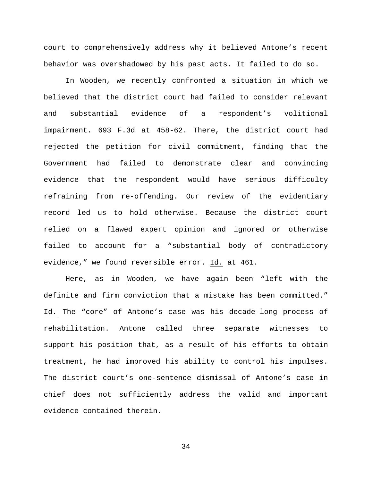court to comprehensively address why it believed Antone's recent behavior was overshadowed by his past acts. It failed to do so.

In Wooden, we recently confronted a situation in which we believed that the district court had failed to consider relevant and substantial evidence of a respondent's volitional impairment. 693 F.3d at 458-62. There, the district court had rejected the petition for civil commitment, finding that the Government had failed to demonstrate clear and convincing evidence that the respondent would have serious difficulty refraining from re-offending. Our review of the evidentiary record led us to hold otherwise. Because the district court relied on a flawed expert opinion and ignored or otherwise failed to account for a "substantial body of contradictory evidence," we found reversible error. Id. at 461.

Here, as in Wooden, we have again been "left with the definite and firm conviction that a mistake has been committed." Id. The "core" of Antone's case was his decade-long process of rehabilitation. Antone called three separate witnesses to support his position that, as a result of his efforts to obtain treatment, he had improved his ability to control his impulses. The district court's one-sentence dismissal of Antone's case in chief does not sufficiently address the valid and important evidence contained therein.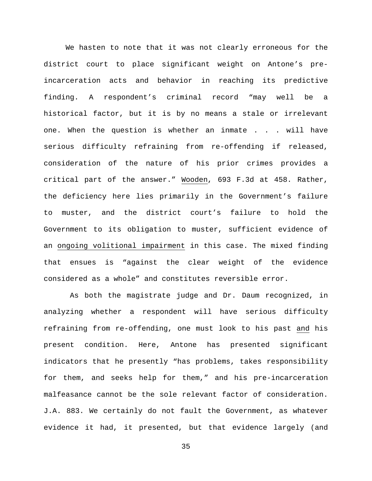We hasten to note that it was not clearly erroneous for the district court to place significant weight on Antone's preincarceration acts and behavior in reaching its predictive finding. A respondent's criminal record "may well be a historical factor, but it is by no means a stale or irrelevant one. When the question is whether an inmate . . . will have serious difficulty refraining from re-offending if released, consideration of the nature of his prior crimes provides a critical part of the answer." Wooden, 693 F.3d at 458. Rather, the deficiency here lies primarily in the Government's failure to muster, and the district court's failure to hold the Government to its obligation to muster, sufficient evidence of an ongoing volitional impairment in this case. The mixed finding that ensues is "against the clear weight of the evidence considered as a whole" and constitutes reversible error.

As both the magistrate judge and Dr. Daum recognized, in analyzing whether a respondent will have serious difficulty refraining from re-offending, one must look to his past and his present condition. Here, Antone has presented significant indicators that he presently "has problems, takes responsibility for them, and seeks help for them," and his pre-incarceration malfeasance cannot be the sole relevant factor of consideration. J.A. 883. We certainly do not fault the Government, as whatever evidence it had, it presented, but that evidence largely (and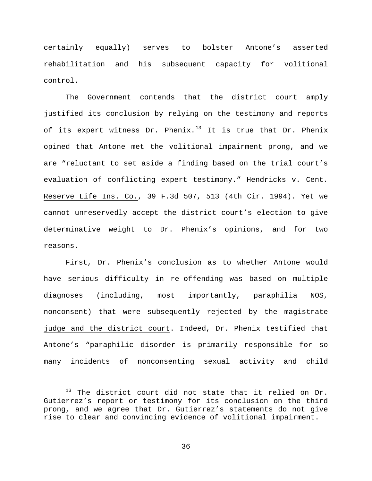certainly equally) serves to bolster Antone's asserted rehabilitation and his subsequent capacity for volitional control.

The Government contends that the district court amply justified its conclusion by relying on the testimony and reports of its expert witness Dr. Phenix.<sup>[13](#page-35-0)</sup> It is true that Dr. Phenix opined that Antone met the volitional impairment prong, and we are "reluctant to set aside a finding based on the trial court's evaluation of conflicting expert testimony." Hendricks v. Cent. Reserve Life Ins. Co., 39 F.3d 507, 513 (4th Cir. 1994). Yet we cannot unreservedly accept the district court's election to give determinative weight to Dr. Phenix's opinions, and for two reasons.

First, Dr. Phenix's conclusion as to whether Antone would have serious difficulty in re-offending was based on multiple diagnoses (including, most importantly, paraphilia NOS, nonconsent) that were subsequently rejected by the magistrate judge and the district court. Indeed, Dr. Phenix testified that Antone's "paraphilic disorder is primarily responsible for so many incidents of nonconsenting sexual activity and child

<span id="page-35-0"></span> $13$  The district court did not state that it relied on Dr. Gutierrez's report or testimony for its conclusion on the third prong, and we agree that Dr. Gutierrez's statements do not give rise to clear and convincing evidence of volitional impairment.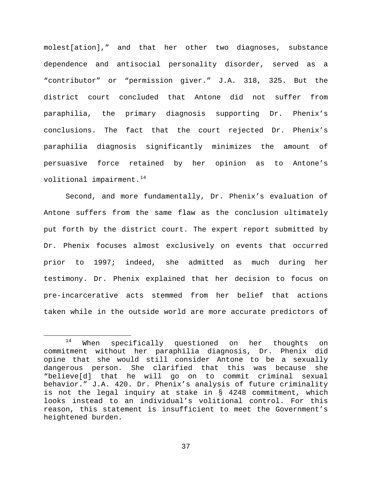molest[ation]," and that her other two diagnoses, substance dependence and antisocial personality disorder, served as a "contributor" or "permission giver." J.A. 318, 325. But the district court concluded that Antone did not suffer from paraphilia, the primary diagnosis supporting Dr. Phenix's conclusions. The fact that the court rejected Dr. Phenix's paraphilia diagnosis significantly minimizes the amount of persuasive force retained by her opinion as to Antone's volitional impairment.<sup>[14](#page-36-0)</sup>

Second, and more fundamentally, Dr. Phenix's evaluation of Antone suffers from the same flaw as the conclusion ultimately put forth by the district court. The expert report submitted by Dr. Phenix focuses almost exclusively on events that occurred prior to 1997; indeed, she admitted as much during her testimony. Dr. Phenix explained that her decision to focus on pre-incarcerative acts stemmed from her belief that actions taken while in the outside world are more accurate predictors of

<span id="page-36-0"></span><sup>&</sup>lt;sup>14</sup> When specifically questioned on her thoughts on commitment without her paraphilia diagnosis, Dr. Phenix did opine that she would still consider Antone to be a sexually dangerous person. She clarified that this was because she "believe[d] that he will go on to commit criminal sexual behavior." J.A. 420. Dr. Phenix's analysis of future criminality is not the legal inquiry at stake in § 4248 commitment, which looks instead to an individual's volitional control. For this reason, this statement is insufficient to meet the Government's heightened burden.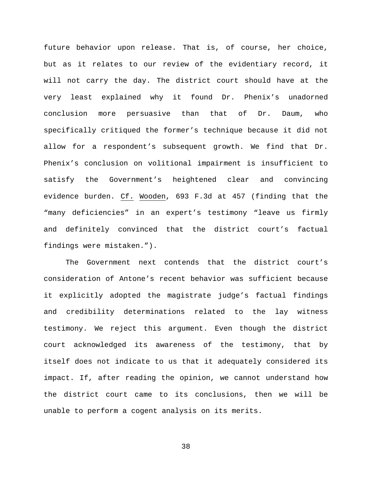future behavior upon release. That is, of course, her choice, but as it relates to our review of the evidentiary record, it will not carry the day. The district court should have at the very least explained why it found Dr. Phenix's unadorned conclusion more persuasive than that of Dr. Daum, who specifically critiqued the former's technique because it did not allow for a respondent's subsequent growth. We find that Dr. Phenix's conclusion on volitional impairment is insufficient to satisfy the Government's heightened clear and convincing evidence burden. Cf. Wooden, 693 F.3d at 457 (finding that the "many deficiencies" in an expert's testimony "leave us firmly and definitely convinced that the district court's factual findings were mistaken.").

The Government next contends that the district court's consideration of Antone's recent behavior was sufficient because it explicitly adopted the magistrate judge's factual findings and credibility determinations related to the lay witness testimony. We reject this argument. Even though the district court acknowledged its awareness of the testimony, that by itself does not indicate to us that it adequately considered its impact. If, after reading the opinion, we cannot understand how the district court came to its conclusions, then we will be unable to perform a cogent analysis on its merits.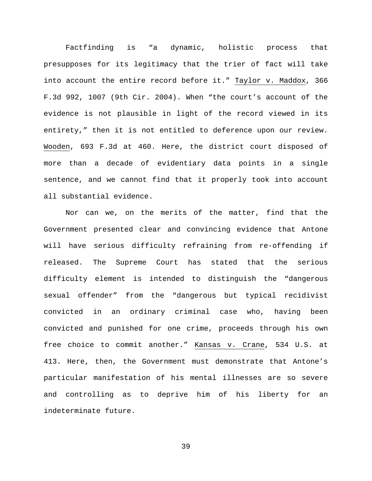Factfinding is "a dynamic, holistic process that presupposes for its legitimacy that the trier of fact will take into account the entire record before it." Taylor v. Maddox, 366 F.3d 992, 1007 (9th Cir. 2004). When "the court's account of the evidence is not plausible in light of the record viewed in its entirety," then it is not entitled to deference upon our review. Wooden, 693 F.3d at 460. Here, the district court disposed of more than a decade of evidentiary data points in a single sentence, and we cannot find that it properly took into account all substantial evidence.

Nor can we, on the merits of the matter, find that the Government presented clear and convincing evidence that Antone will have serious difficulty refraining from re-offending if released. The Supreme Court has stated that the serious difficulty element is intended to distinguish the "dangerous sexual offender" from the "dangerous but typical recidivist convicted in an ordinary criminal case who, having been convicted and punished for one crime, proceeds through his own free choice to commit another." Kansas v. Crane, 534 U.S. at 413. Here, then, the Government must demonstrate that Antone's particular manifestation of his mental illnesses are so severe and controlling as to deprive him of his liberty for an indeterminate future.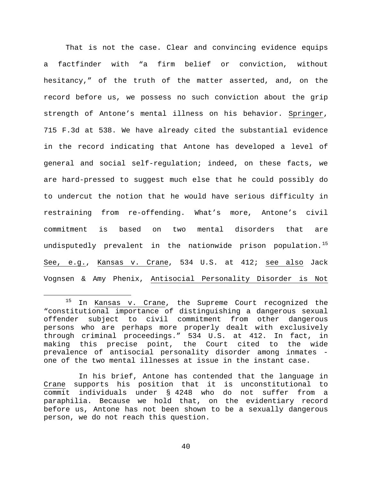That is not the case. Clear and convincing evidence equips a factfinder with "a firm belief or conviction, without hesitancy," of the truth of the matter asserted, and, on the record before us, we possess no such conviction about the grip strength of Antone's mental illness on his behavior. Springer, 715 F.3d at 538. We have already cited the substantial evidence in the record indicating that Antone has developed a level of general and social self-regulation; indeed, on these facts, we are hard-pressed to suggest much else that he could possibly do to undercut the notion that he would have serious difficulty in restraining from re-offending. What's more, Antone's civil commitment is based on two mental disorders that are undisputedly prevalent in the nationwide prison population.<sup>[15](#page-39-0)</sup> See, e.g., Kansas v. Crane, 534 U.S. at 412; see also Jack Vognsen & Amy Phenix, Antisocial Personality Disorder is Not

<span id="page-39-0"></span> $15$  In Kansas v. Crane, the Supreme Court recognized the "constitutional importance of distinguishing a dangerous sexual offender subject to civil commitment from other dangerous persons who are perhaps more properly dealt with exclusively through criminal proceedings." 534 U.S. at 412. In fact, in making this precise point, the Court cited to the wide prevalence of antisocial personality disorder among inmates one of the two mental illnesses at issue in the instant case.

In his brief, Antone has contended that the language in Crane supports his position that it is unconstitutional to commit individuals under § 4248 who do not suffer from a paraphilia. Because we hold that, on the evidentiary record before us, Antone has not been shown to be a sexually dangerous person, we do not reach this question.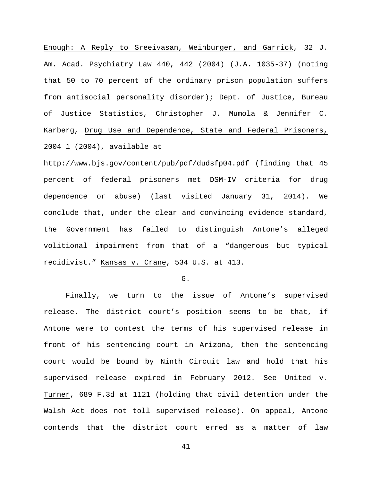Enough: A Reply to Sreeivasan, Weinburger, and Garrick, 32 J. Am. Acad. Psychiatry Law 440, 442 (2004) (J.A. 1035-37) (noting that 50 to 70 percent of the ordinary prison population suffers from antisocial personality disorder); Dept. of Justice, Bureau of Justice Statistics, Christopher J. Mumola & Jennifer C. Karberg, Drug Use and Dependence, State and Federal Prisoners, 2004 1 (2004), available at

http://www.bjs.gov/content/pub/pdf/dudsfp04.pdf (finding that 45 percent of federal prisoners met DSM-IV criteria for drug dependence or abuse) (last visited January 31, 2014). We conclude that, under the clear and convincing evidence standard, the Government has failed to distinguish Antone's alleged volitional impairment from that of a "dangerous but typical recidivist." Kansas v. Crane, 534 U.S. at 413.

 $G<sub>1</sub>$ 

Finally, we turn to the issue of Antone's supervised release. The district court's position seems to be that, if Antone were to contest the terms of his supervised release in front of his sentencing court in Arizona, then the sentencing court would be bound by Ninth Circuit law and hold that his supervised release expired in February 2012. See United v. Turner, 689 F.3d at 1121 (holding that civil detention under the Walsh Act does not toll supervised release). On appeal, Antone contends that the district court erred as a matter of law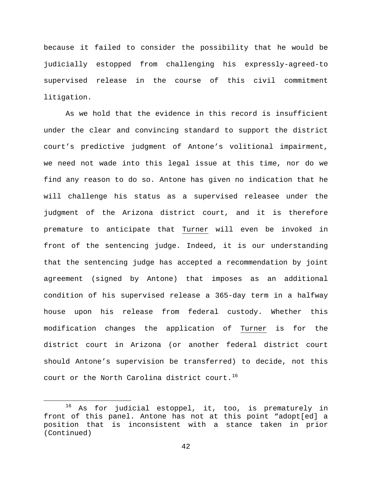because it failed to consider the possibility that he would be judicially estopped from challenging his expressly-agreed-to supervised release in the course of this civil commitment litigation.

As we hold that the evidence in this record is insufficient under the clear and convincing standard to support the district court's predictive judgment of Antone's volitional impairment, we need not wade into this legal issue at this time, nor do we find any reason to do so. Antone has given no indication that he will challenge his status as a supervised releasee under the judgment of the Arizona district court, and it is therefore premature to anticipate that Turner will even be invoked in front of the sentencing judge. Indeed, it is our understanding that the sentencing judge has accepted a recommendation by joint agreement (signed by Antone) that imposes as an additional condition of his supervised release a 365-day term in a halfway house upon his release from federal custody. Whether this modification changes the application of Turner is for the district court in Arizona (or another federal district court should Antone's supervision be transferred) to decide, not this court or the North Carolina district court.<sup>[16](#page-41-0)</sup>

<span id="page-41-0"></span><sup>&</sup>lt;sup>16</sup> As for judicial estoppel, it, too, is prematurely in front of this panel. Antone has not at this point "adopt[ed] a position that is inconsistent with a stance taken in prior (Continued)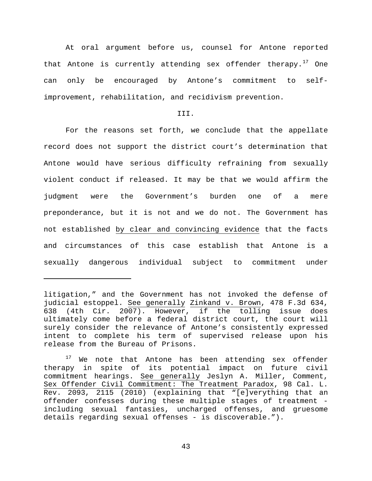At oral argument before us, counsel for Antone reported that Antone is currently attending sex offender therapy.<sup>[17](#page-42-0)</sup> One can only be encouraged by Antone's commitment to selfimprovement, rehabilitation, and recidivism prevention.

# III.

For the reasons set forth, we conclude that the appellate record does not support the district court's determination that Antone would have serious difficulty refraining from sexually violent conduct if released. It may be that we would affirm the judgment were the Government's burden one of a mere preponderance, but it is not and we do not. The Government has not established by clear and convincing evidence that the facts and circumstances of this case establish that Antone is a sexually dangerous individual subject to commitment under

ī

litigation," and the Government has not invoked the defense of judicial estoppel. See generally Zinkand v. Brown, 478 F.3d 634, 638 (4th Cir. 2007). However, if the tolling issue does ultimately come before a federal district court, the court will surely consider the relevance of Antone's consistently expressed intent to complete his term of supervised release upon his release from the Bureau of Prisons.

<span id="page-42-0"></span>We note that Antone has been attending sex offender therapy in spite of its potential impact on future civil commitment hearings. See generally Jeslyn A. Miller, Comment, Sex Offender Civil Commitment: The Treatment Paradox, 98 Cal. L. Rev. 2093, 2115 (2010) (explaining that "[e]verything that an offender confesses during these multiple stages of treatment including sexual fantasies, uncharged offenses, and gruesome details regarding sexual offenses - is discoverable.").